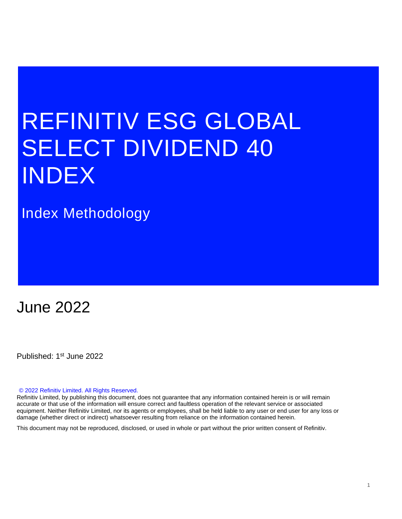# REFINITIV ESG GLOBAL SELECT DIVIDEND 40 INDEX

# Index Methodology

# June 2022

Published: 1st June 2022

#### © 2022 Refinitiv Limited. All Rights Reserved.

Refinitiv Limited, by publishing this document, does not guarantee that any information contained herein is or will remain accurate or that use of the information will ensure correct and faultless operation of the relevant service or associated equipment. Neither Refinitiv Limited, nor its agents or employees, shall be held liable to any user or end user for any loss or damage (whether direct or indirect) whatsoever resulting from reliance on the information contained herein.

This document may not be reproduced, disclosed, or used in whole or part without the prior written consent of Refinitiv.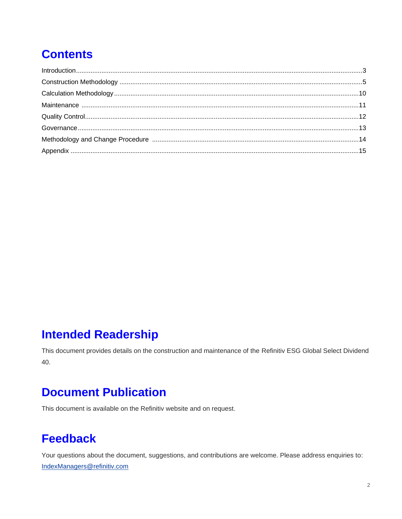# **Contents**

# **Intended Readership**

This document provides details on the construction and maintenance of the Refinitiv ESG Global Select Dividend 40.

# **Document Publication**

This document is available on the Refinitiv website and on request.

# **Feedback**

Your questions about the document, suggestions, and contributions are welcome. Please address enquiries to: IndexManagers@refinitiv.com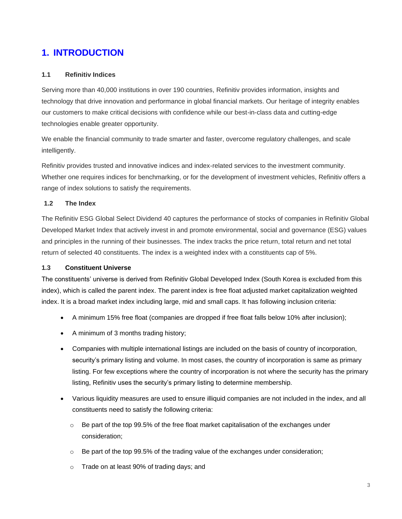# **1. INTRODUCTION**

#### <span id="page-2-0"></span>**1.1 Refinitiv Indices**

Serving more than 40,000 institutions in over 190 countries, Refinitiv provides information, insights and technology that drive innovation and performance in global financial markets. Our heritage of integrity enables our customers to make critical decisions with confidence while our best-in-class data and cutting-edge technologies enable greater opportunity.

We enable the financial community to trade smarter and faster, overcome regulatory challenges, and scale intelligently.

Refinitiv provides trusted and innovative indices and index-related services to the investment community. Whether one requires indices for benchmarking, or for the development of investment vehicles, Refinitiv offers a range of index solutions to satisfy the requirements.

#### **1.2 The Index**

The Refinitiv ESG Global Select Dividend 40 captures the performance of stocks of companies in Refinitiv Global Developed Market Index that actively invest in and promote environmental, social and governance (ESG) values and principles in the running of their businesses. The index tracks the price return, total return and net total return of selected 40 constituents. The index is a weighted index with a constituents cap of 5%.

#### **1.3 Constituent Universe**

The constituents' universe is derived from Refinitiv Global Developed Index (South Korea is excluded from this index), which is called the parent index. The parent index is free float adjusted market capitalization weighted index. It is a broad market index including large, mid and small caps. It has following inclusion criteria:

- A minimum 15% free float (companies are dropped if free float falls below 10% after inclusion);
- A minimum of 3 months trading history;
- Companies with multiple international listings are included on the basis of country of incorporation, security's primary listing and volume. In most cases, the country of incorporation is same as primary listing. For few exceptions where the country of incorporation is not where the security has the primary listing, Refinitiv uses the security's primary listing to determine membership.
- Various liquidity measures are used to ensure illiquid companies are not included in the index, and all constituents need to satisfy the following criteria:
	- $\circ$  Be part of the top 99.5% of the free float market capitalisation of the exchanges under consideration;
	- $\circ$  Be part of the top 99.5% of the trading value of the exchanges under consideration;
	- o Trade on at least 90% of trading days; and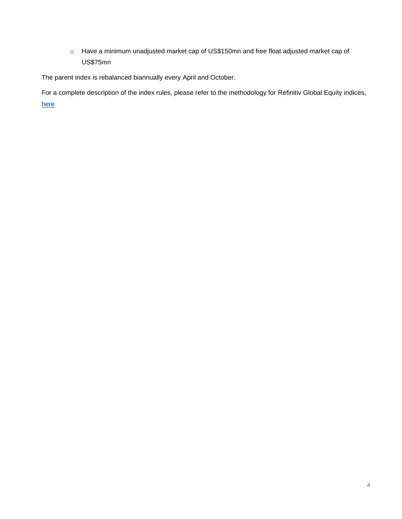o Have a minimum unadjusted market cap of US\$150mn and free float adjusted market cap of US\$75mn

The parent index is rebalanced biannually every April and October.

For a complete description of the index rules, please refer to the methodology for Refinitiv Global Equity indices, [here](https://financial.thomsonreuters.com/content/dam/openweb/documents/pdf/financial/global-equity-index-methodology.pdf)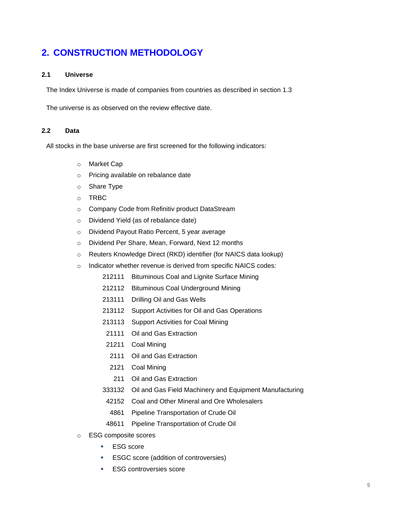# **2. CONSTRUCTION METHODOLOGY**

#### <span id="page-4-0"></span>**2.1 Universe**

The Index Universe is made of companies from countries as described in section 1.3

The universe is as observed on the review effective date.

#### **2.2 Data**

All stocks in the base universe are first screened for the following indicators:

- o Market Cap
- o Pricing available on rebalance date
- o Share Type
- o TRBC
- o Company Code from Refinitiv product DataStream
- o Dividend Yield (as of rebalance date)
- o Dividend Payout Ratio Percent, 5 year average
- o Dividend Per Share, Mean, Forward, Next 12 months
- o Reuters Knowledge Direct (RKD) identifier (for NAICS data lookup)
- o Indicator whether revenue is derived from specific NAICS codes:
	- 212111 Bituminous Coal and Lignite Surface Mining
	- 212112 Bituminous Coal Underground Mining
	- 213111 Drilling Oil and Gas Wells
	- 213112 Support Activities for Oil and Gas Operations
	- 213113 Support Activities for Coal Mining
	- 21111 Oil and Gas Extraction
	- 21211 Coal Mining
		- 2111 Oil and Gas Extraction
	- 2121 Coal Mining
	- 211 Oil and Gas Extraction
	- 333132 Oil and Gas Field Machinery and Equipment Manufacturing
	- 42152 Coal and Other Mineral and Ore Wholesalers
	- 4861 Pipeline Transportation of Crude Oil
	- 48611 Pipeline Transportation of Crude Oil
- o ESG composite scores
	- ESG score
	- **ESGC** score (addition of controversies)
	- **ESG controversies score**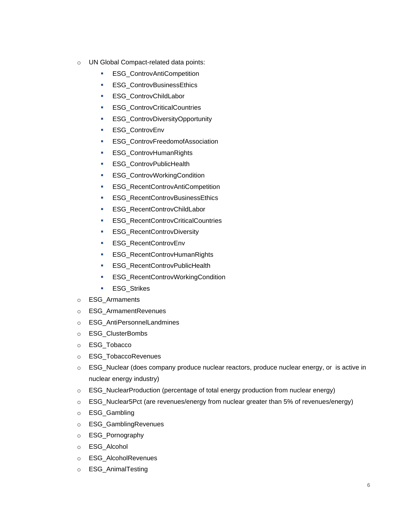- o UN Global Compact-related data points:
	- **ESG\_ControvAntiCompetition**
	- **ESG\_ControvBusinessEthics**
	- ESG\_ControvChildLabor
	- **ESG\_ControvCriticalCountries**
	- **ESG\_ControvDiversityOpportunity**
	- **ESG\_ControvEnv**
	- **ESG\_ControvFreedomofAssociation**
	- **ESG\_ControvHumanRights**
	- **ESG** ControvPublicHealth
	- **ESG\_ControvWorkingCondition**
	- **ESG\_RecentControvAntiCompetition**
	- **ESG\_RecentControvBusinessEthics**
	- ESG\_RecentControvChildLabor
	- **ESG\_RecentControvCriticalCountries**
	- **ESG\_RecentControvDiversity**
	- ESG\_RecentControvEnv
	- **ESG\_RecentControvHumanRights**
	- **ESG\_RecentControvPublicHealth**
	- **ESG\_RecentControvWorkingCondition**
	- ESG\_Strikes
- o ESG\_Armaments
- o ESG\_ArmamentRevenues
- o ESG\_AntiPersonnelLandmines
- o ESG\_ClusterBombs
- o ESG\_Tobacco
- o ESG\_TobaccoRevenues
- o ESG\_Nuclear (does company produce nuclear reactors, produce nuclear energy, or is active in nuclear energy industry)
- $\circ$  ESG NuclearProduction (percentage of total energy production from nuclear energy)
- o ESG\_Nuclear5Pct (are revenues/energy from nuclear greater than 5% of revenues/energy)
- o ESG\_Gambling
- o ESG\_GamblingRevenues
- o ESG\_Pornography
- o ESG\_Alcohol
- o ESG\_AlcoholRevenues
- o ESG\_AnimalTesting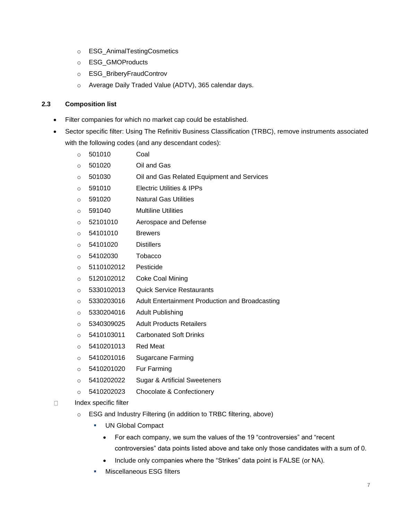- o ESG\_AnimalTestingCosmetics
- o ESG\_GMOProducts
- o ESG\_BriberyFraudControv
- o Average Daily Traded Value (ADTV), 365 calendar days.

#### **2.3 Composition list**

- Filter companies for which no market cap could be established.
- Sector specific filter: Using The Refinitiv Business Classification (TRBC), remove instruments associated with the following codes (and any descendant codes):
	- o 501010 Coal
	- o 501020 Oil and Gas
	- o 501030 Oil and Gas Related Equipment and Services
	- o 591010 Electric Utilities & IPPs
	- o 591020 Natural Gas Utilities
	- o 591040 Multiline Utilities
	- o 52101010 Aerospace and Defense
	- o 54101010 Brewers
	- o 54101020 Distillers
	- o 54102030 Tobacco
	- o 5110102012 Pesticide
	- o 5120102012 Coke Coal Mining
	- o 5330102013 Quick Service Restaurants
	- o 5330203016 Adult Entertainment Production and Broadcasting
	- o 5330204016 Adult Publishing
	- o 5340309025 Adult Products Retailers
	- o 5410103011 Carbonated Soft Drinks
	- o 5410201013 Red Meat
	- o 5410201016 Sugarcane Farming
	- o 5410201020 Fur Farming
	- o 5410202022 Sugar & Artificial Sweeteners
	- o 5410202023 Chocolate & Confectionery
- □ Index specific filter
	- o ESG and Industry Filtering (in addition to TRBC filtering, above)
		- **UN Global Compact** 
			- For each company, we sum the values of the 19 "controversies" and "recent controversies" data points listed above and take only those candidates with a sum of 0.
			- Include only companies where the "Strikes" data point is FALSE (or NA).
		- **Miscellaneous ESG filters**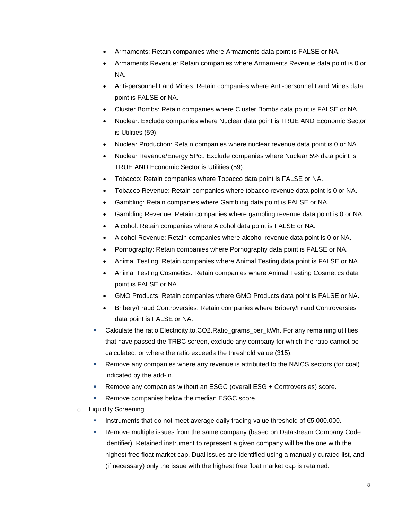- Armaments: Retain companies where Armaments data point is FALSE or NA.
- Armaments Revenue: Retain companies where Armaments Revenue data point is 0 or NA.
- Anti-personnel Land Mines: Retain companies where Anti-personnel Land Mines data point is FALSE or NA.
- Cluster Bombs: Retain companies where Cluster Bombs data point is FALSE or NA.
- Nuclear: Exclude companies where Nuclear data point is TRUE AND Economic Sector is Utilities (59).
- Nuclear Production: Retain companies where nuclear revenue data point is 0 or NA.
- Nuclear Revenue/Energy 5Pct: Exclude companies where Nuclear 5% data point is TRUE AND Economic Sector is Utilities (59).
- Tobacco: Retain companies where Tobacco data point is FALSE or NA.
- Tobacco Revenue: Retain companies where tobacco revenue data point is 0 or NA.
- Gambling: Retain companies where Gambling data point is FALSE or NA.
- Gambling Revenue: Retain companies where gambling revenue data point is 0 or NA.
- Alcohol: Retain companies where Alcohol data point is FALSE or NA.
- Alcohol Revenue: Retain companies where alcohol revenue data point is 0 or NA.
- Pornography: Retain companies where Pornography data point is FALSE or NA.
- Animal Testing: Retain companies where Animal Testing data point is FALSE or NA.
- Animal Testing Cosmetics: Retain companies where Animal Testing Cosmetics data point is FALSE or NA.
- GMO Products: Retain companies where GMO Products data point is FALSE or NA.
- Bribery/Fraud Controversies: Retain companies where Bribery/Fraud Controversies data point is FALSE or NA.
- Calculate the ratio Electricity.to.CO2.Ratio\_grams\_per\_kWh. For any remaining utilities that have passed the TRBC screen, exclude any company for which the ratio cannot be calculated, or where the ratio exceeds the threshold value (315).
- **EXEL A** Remove any companies where any revenue is attributed to the NAICS sectors (for coal) indicated by the add-in.
- **EXECT** Remove any companies without an ESGC (overall ESG + Controversies) score.
- Remove companies below the median ESGC score.
- **Liquidity Screening** 
	- Instruments that do not meet average daily trading value threshold of €5.000.000.
	- **EXEL ARE THE INCO EXELGT FIRE ISSUES FROM THE SAME COMPATE ISSUES:** Remove multiple issues from the same company Code identifier). Retained instrument to represent a given company will be the one with the highest free float market cap. Dual issues are identified using a manually curated list, and (if necessary) only the issue with the highest free float market cap is retained.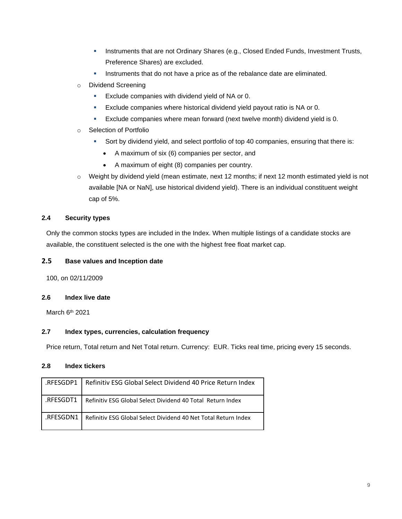- **■** Instruments that are not Ordinary Shares (e.g., Closed Ended Funds, Investment Trusts, Preference Shares) are excluded.
- Instruments that do not have a price as of the rebalance date are eliminated.
- o Dividend Screening
	- **Exclude companies with dividend yield of NA or 0.**
	- **Exclude companies where historical dividend yield payout ratio is NA or 0.**
	- **Exclude companies where mean forward (next twelve month) dividend yield is 0.**
- o Selection of Portfolio
	- **•** Sort by dividend yield, and select portfolio of top 40 companies, ensuring that there is:
		- A maximum of six (6) companies per sector, and
		- A maximum of eight (8) companies per country.
- o Weight by dividend yield (mean estimate, next 12 months; if next 12 month estimated yield is not available [NA or NaN], use historical dividend yield). There is an individual constituent weight cap of 5%.

#### **2.4 Security types**

Only the common stocks types are included in the Index. When multiple listings of a candidate stocks are available, the constituent selected is the one with the highest free float market cap.

#### **2.5 Base values and Inception date**

100, on 02/11/2009

#### **2.6 Index live date**

March 6<sup>th</sup> 2021

#### **2.7 Index types, currencies, calculation frequency**

Price return, Total return and Net Total return. Currency: EUR. Ticks real time, pricing every 15 seconds.

#### **2.8 Index tickers**

| RFESGDP1 1. | Refinitiv ESG Global Select Dividend 40 Price Return Index     |
|-------------|----------------------------------------------------------------|
| RFESGDT1.   | Refinitiv ESG Global Select Dividend 40 Total Return Index     |
| .RFESGDN1   | Refinitiv ESG Global Select Dividend 40 Net Total Return Index |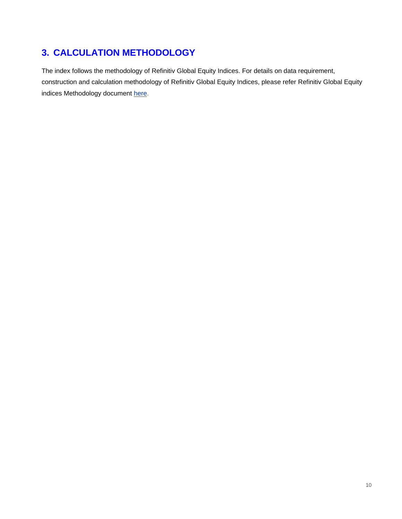# **3. CALCULATION METHODOLOGY**

The index follows the methodology of Refinitiv Global Equity Indices. For details on data requirement, construction and calculation methodology of Refinitiv Global Equity Indices, please refer Refinitiv Global Equity indices Methodology document [here.](http://thomsonreuters.com/en/products-services/financial/equities-markets/global-equity-indices.html)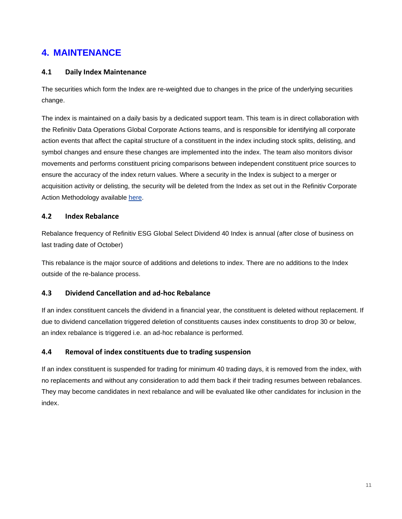### **4. MAINTENANCE**

#### **4.1 Daily Index Maintenance**

The securities which form the Index are re-weighted due to changes in the price of the underlying securities change.

The index is maintained on a daily basis by a dedicated support team. This team is in direct collaboration with the Refinitiv Data Operations Global Corporate Actions teams, and is responsible for identifying all corporate action events that affect the capital structure of a constituent in the index including stock splits, delisting, and symbol changes and ensure these changes are implemented into the index. The team also monitors divisor movements and performs constituent pricing comparisons between independent constituent price sources to ensure the accuracy of the index return values. Where a security in the Index is subject to a merger or acquisition activity or delisting, the security will be deleted from the Index as set out in the Refinitiv Corporate Action Methodology available [here.](https://financial.thomsonreuters.com/content/dam/openweb/documents/pdf/financial/corporate-actions-methodology.pdf)

#### **4.2 Index Rebalance**

Rebalance frequency of Refinitiv ESG Global Select Dividend 40 Index is annual (after close of business on last trading date of October)

This rebalance is the major source of additions and deletions to index. There are no additions to the Index outside of the re-balance process.

#### **4.3 Dividend Cancellation and ad-hoc Rebalance**

If an index constituent cancels the dividend in a financial year, the constituent is deleted without replacement. If due to dividend cancellation triggered deletion of constituents causes index constituents to drop 30 or below, an index rebalance is triggered i.e. an ad-hoc rebalance is performed.

#### **4.4 Removal of index constituents due to trading suspension**

If an index constituent is suspended for trading for minimum 40 trading days, it is removed from the index, with no replacements and without any consideration to add them back if their trading resumes between rebalances. They may become candidates in next rebalance and will be evaluated like other candidates for inclusion in the index.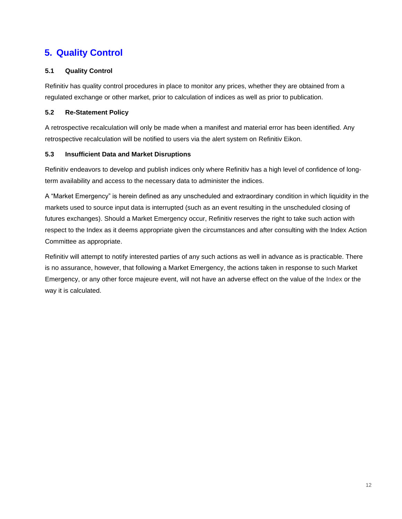# **5. Quality Control**

#### **5.1 Quality Control**

Refinitiv has quality control procedures in place to monitor any prices, whether they are obtained from a regulated exchange or other market, prior to calculation of indices as well as prior to publication.

#### **5.2 Re-Statement Policy**

A retrospective recalculation will only be made when a manifest and material error has been identified. Any retrospective recalculation will be notified to users via the alert system on Refinitiv Eikon.

#### **5.3 Insufficient Data and Market Disruptions**

Refinitiv endeavors to develop and publish indices only where Refinitiv has a high level of confidence of longterm availability and access to the necessary data to administer the indices.

A "Market Emergency" is herein defined as any unscheduled and extraordinary condition in which liquidity in the markets used to source input data is interrupted (such as an event resulting in the unscheduled closing of futures exchanges). Should a Market Emergency occur, Refinitiv reserves the right to take such action with respect to the Index as it deems appropriate given the circumstances and after consulting with the Index Action Committee as appropriate.

Refinitiv will attempt to notify interested parties of any such actions as well in advance as is practicable. There is no assurance, however, that following a Market Emergency, the actions taken in response to such Market Emergency, or any other force majeure event, will not have an adverse effect on the value of the Index or the way it is calculated.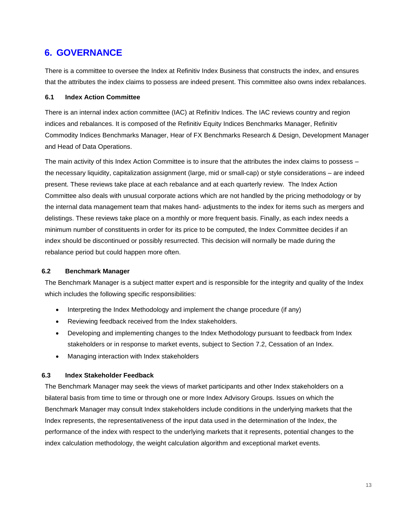### **6. GOVERNANCE**

There is a committee to oversee the Index at Refinitiv Index Business that constructs the index, and ensures that the attributes the index claims to possess are indeed present. This committee also owns index rebalances.

#### <span id="page-12-0"></span>**6.1 Index Action Committee**

There is an internal index action committee (IAC) at Refinitiv Indices. The IAC reviews country and region indices and rebalances. It is composed of the Refinitiv Equity Indices Benchmarks Manager, Refinitiv Commodity Indices Benchmarks Manager, Hear of FX Benchmarks Research & Design, Development Manager and Head of Data Operations.

The main activity of this Index Action Committee is to insure that the attributes the index claims to possess – the necessary liquidity, capitalization assignment (large, mid or small-cap) or style considerations – are indeed present. These reviews take place at each rebalance and at each quarterly review. The Index Action Committee also deals with unusual corporate actions which are not handled by the pricing methodology or by the internal data management team that makes hand- adjustments to the index for items such as mergers and delistings. These reviews take place on a monthly or more frequent basis. Finally, as each index needs a minimum number of constituents in order for its price to be computed, the Index Committee decides if an index should be discontinued or possibly resurrected. This decision will normally be made during the rebalance period but could happen more often.

#### **6.2 Benchmark Manager**

The Benchmark Manager is a subject matter expert and is responsible for the integrity and quality of the Index which includes the following specific responsibilities:

- Interpreting the Index Methodology and implement the change procedure (if any)
- Reviewing feedback received from the Index stakeholders.
- Developing and implementing changes to the Index Methodology pursuant to feedback from Index stakeholders or in response to market events, subject to Section 7.2, Cessation of an Index.
- Managing interaction with Index stakeholders

#### <span id="page-12-1"></span>**6.3 Index Stakeholder Feedback**

The Benchmark Manager may seek the views of market participants and other Index stakeholders on a bilateral basis from time to time or through one or more Index Advisory Groups. Issues on which the Benchmark Manager may consult Index stakeholders include conditions in the underlying markets that the Index represents, the representativeness of the input data used in the determination of the Index, the performance of the index with respect to the underlying markets that it represents, potential changes to the index calculation methodology, the weight calculation algorithm and exceptional market events.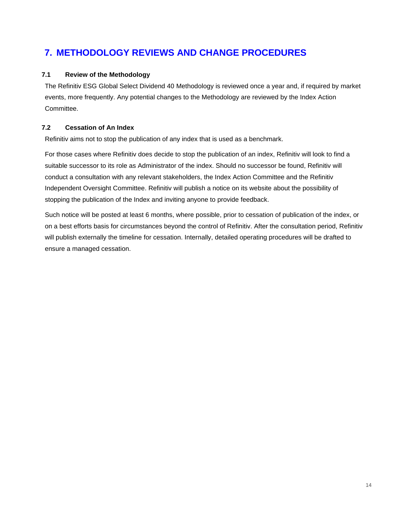# **7. METHODOLOGY REVIEWS AND CHANGE PROCEDURES**

#### <span id="page-13-0"></span>**7.1 Review of the Methodology**

The Refinitiv ESG Global Select Dividend 40 Methodology is reviewed once a year and, if required by market events, more frequently. Any potential changes to the Methodology are reviewed by the Index Action Committee.

#### **7.2 Cessation of An Index**

Refinitiv aims not to stop the publication of any index that is used as a benchmark.

For those cases where Refinitiv does decide to stop the publication of an index, Refinitiv will look to find a suitable successor to its role as Administrator of the index. Should no successor be found, Refinitiv will conduct a consultation with any relevant stakeholders, the Index Action Committee and the Refinitiv Independent Oversight Committee. Refinitiv will publish a notice on its website about the possibility of stopping the publication of the Index and inviting anyone to provide feedback.

Such notice will be posted at least 6 months, where possible, prior to cessation of publication of the index, or on a best efforts basis for circumstances beyond the control of Refinitiv. After the consultation period, Refinitiv will publish externally the timeline for cessation. Internally, detailed operating procedures will be drafted to ensure a managed cessation.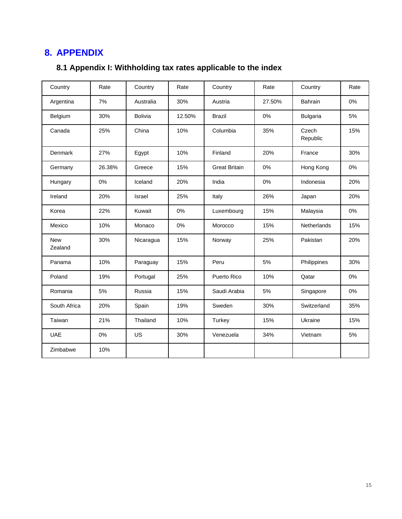# **8. APPENDIX**

# **8.1 Appendix I: Withholding tax rates applicable to the index**

| Country               | Rate   | Country        | Rate   | Country              | Rate   | Country           | Rate |
|-----------------------|--------|----------------|--------|----------------------|--------|-------------------|------|
| Argentina             | 7%     | Australia      | 30%    | Austria              | 27.50% | <b>Bahrain</b>    | 0%   |
| Belgium               | 30%    | <b>Bolivia</b> | 12.50% | <b>Brazil</b>        | 0%     | <b>Bulgaria</b>   | 5%   |
| Canada                | 25%    | China          | 10%    | Columbia             | 35%    | Czech<br>Republic | 15%  |
| Denmark               | 27%    | Egypt          | 10%    | Finland              | 20%    | France            | 30%  |
| Germany               | 26.38% | Greece         | 15%    | <b>Great Britain</b> | 0%     | Hong Kong         | 0%   |
| Hungary               | 0%     | Iceland        | 20%    | India                | 0%     | Indonesia         | 20%  |
| Ireland               | 20%    | Israel         | 25%    | Italy                | 26%    | Japan             | 20%  |
| Korea                 | 22%    | Kuwait         | 0%     | Luxembourg           | 15%    | Malaysia          | 0%   |
| Mexico                | 10%    | Monaco         | 0%     | Morocco              | 15%    | Netherlands       | 15%  |
| <b>New</b><br>Zealand | 30%    | Nicaragua      | 15%    | Norway               | 25%    | Pakistan          | 20%  |
| Panama                | 10%    | Paraguay       | 15%    | Peru                 | 5%     | Philippines       | 30%  |
| Poland                | 19%    | Portugal       | 25%    | Puerto Rico          | 10%    | Qatar             | 0%   |
| Romania               | 5%     | Russia         | 15%    | Saudi Arabia         | 5%     | Singapore         | 0%   |
| South Africa          | 20%    | Spain          | 19%    | Sweden               | 30%    | Switzerland       | 35%  |
| Taiwan                | 21%    | Thailand       | 10%    | Turkey               | 15%    | Ukraine           | 15%  |
| <b>UAE</b>            | 0%     | US             | 30%    | Venezuela            | 34%    | Vietnam           | 5%   |
| Zimbabwe              | 10%    |                |        |                      |        |                   |      |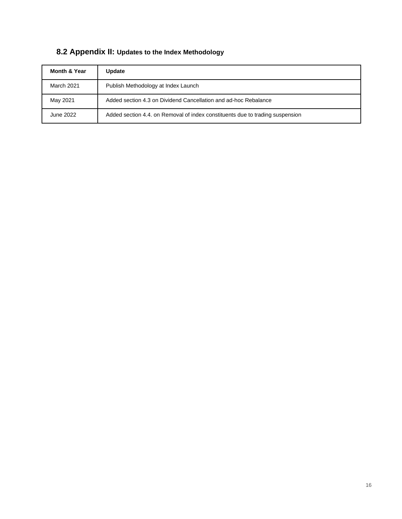| <b>Month &amp; Year</b> | Update                                                                        |
|-------------------------|-------------------------------------------------------------------------------|
| <b>March 2021</b>       | Publish Methodology at Index Launch                                           |
| May 2021                | Added section 4.3 on Dividend Cancellation and ad-hoc Rebalance               |
| June 2022               | Added section 4.4, on Removal of index constituents due to trading suspension |

### **8.2 Appendix II: Updates to the Index Methodology**